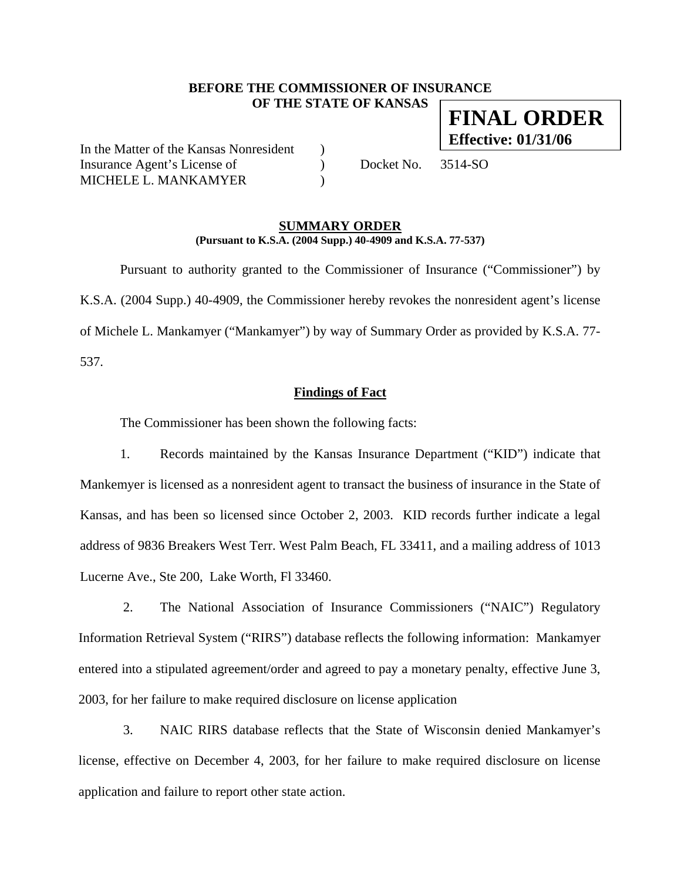# **BEFORE THE COMMISSIONER OF INSURANCE OF THE STATE OF KANSAS**

In the Matter of the Kansas Nonresident ) Insurance Agent's License of  $Docket No. 3514-SO$ MICHELE L. MANKAMYER
(2)

### **SUMMARY ORDER (Pursuant to K.S.A. (2004 Supp.) 40-4909 and K.S.A. 77-537)**

 Pursuant to authority granted to the Commissioner of Insurance ("Commissioner") by K.S.A. (2004 Supp.) 40-4909, the Commissioner hereby revokes the nonresident agent's license of Michele L. Mankamyer ("Mankamyer") by way of Summary Order as provided by K.S.A. 77- 537.

## **Findings of Fact**

The Commissioner has been shown the following facts:

1. Records maintained by the Kansas Insurance Department ("KID") indicate that Mankemyer is licensed as a nonresident agent to transact the business of insurance in the State of Kansas, and has been so licensed since October 2, 2003. KID records further indicate a legal address of 9836 Breakers West Terr. West Palm Beach, FL 33411, and a mailing address of 1013 Lucerne Ave., Ste 200, Lake Worth, Fl 33460.

2. The National Association of Insurance Commissioners ("NAIC") Regulatory Information Retrieval System ("RIRS") database reflects the following information: Mankamyer entered into a stipulated agreement/order and agreed to pay a monetary penalty, effective June 3, 2003, for her failure to make required disclosure on license application

3. NAIC RIRS database reflects that the State of Wisconsin denied Mankamyer's license, effective on December 4, 2003, for her failure to make required disclosure on license application and failure to report other state action.

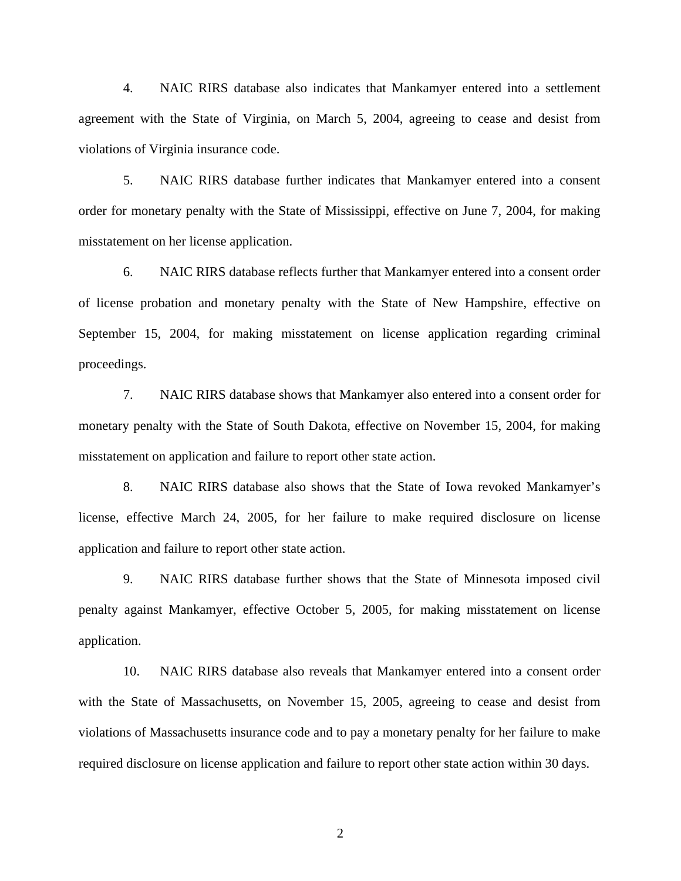4. NAIC RIRS database also indicates that Mankamyer entered into a settlement agreement with the State of Virginia, on March 5, 2004, agreeing to cease and desist from violations of Virginia insurance code.

5. NAIC RIRS database further indicates that Mankamyer entered into a consent order for monetary penalty with the State of Mississippi, effective on June 7, 2004, for making misstatement on her license application.

6. NAIC RIRS database reflects further that Mankamyer entered into a consent order of license probation and monetary penalty with the State of New Hampshire, effective on September 15, 2004, for making misstatement on license application regarding criminal proceedings.

7. NAIC RIRS database shows that Mankamyer also entered into a consent order for monetary penalty with the State of South Dakota, effective on November 15, 2004, for making misstatement on application and failure to report other state action.

8. NAIC RIRS database also shows that the State of Iowa revoked Mankamyer's license, effective March 24, 2005, for her failure to make required disclosure on license application and failure to report other state action.

9. NAIC RIRS database further shows that the State of Minnesota imposed civil penalty against Mankamyer, effective October 5, 2005, for making misstatement on license application.

10. NAIC RIRS database also reveals that Mankamyer entered into a consent order with the State of Massachusetts, on November 15, 2005, agreeing to cease and desist from violations of Massachusetts insurance code and to pay a monetary penalty for her failure to make required disclosure on license application and failure to report other state action within 30 days.

2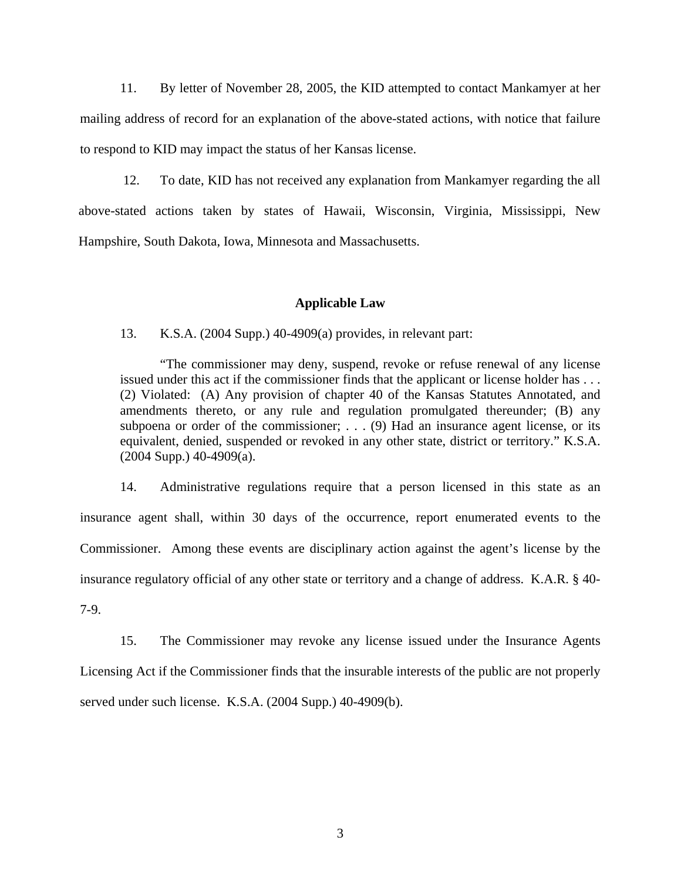11. By letter of November 28, 2005, the KID attempted to contact Mankamyer at her mailing address of record for an explanation of the above-stated actions, with notice that failure to respond to KID may impact the status of her Kansas license.

12. To date, KID has not received any explanation from Mankamyer regarding the all above-stated actions taken by states of Hawaii, Wisconsin, Virginia, Mississippi, New Hampshire, South Dakota, Iowa, Minnesota and Massachusetts.

#### **Applicable Law**

13. K.S.A. (2004 Supp.) 40-4909(a) provides, in relevant part:

"The commissioner may deny, suspend, revoke or refuse renewal of any license issued under this act if the commissioner finds that the applicant or license holder has . . . (2) Violated: (A) Any provision of chapter 40 of the Kansas Statutes Annotated, and amendments thereto, or any rule and regulation promulgated thereunder; (B) any subpoena or order of the commissioner; . . . (9) Had an insurance agent license, or its equivalent, denied, suspended or revoked in any other state, district or territory." K.S.A.  $(2004$  Supp.)  $40-4909$ (a).

14. Administrative regulations require that a person licensed in this state as an insurance agent shall, within 30 days of the occurrence, report enumerated events to the Commissioner. Among these events are disciplinary action against the agent's license by the insurance regulatory official of any other state or territory and a change of address. K.A.R. § 40- 7-9.

15. The Commissioner may revoke any license issued under the Insurance Agents Licensing Act if the Commissioner finds that the insurable interests of the public are not properly served under such license. K.S.A. (2004 Supp.) 40-4909(b).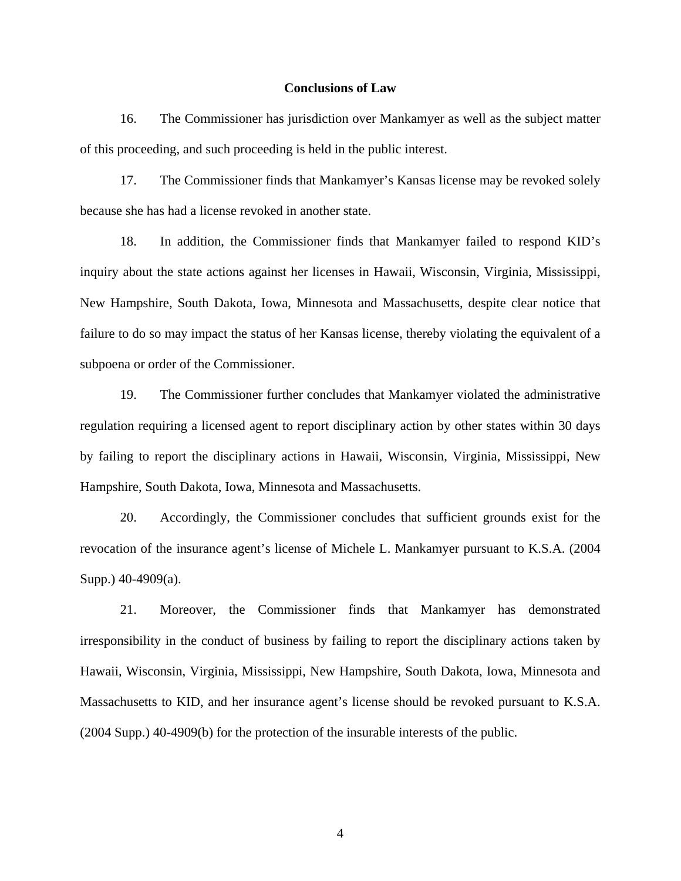#### **Conclusions of Law**

16. The Commissioner has jurisdiction over Mankamyer as well as the subject matter of this proceeding, and such proceeding is held in the public interest.

17. The Commissioner finds that Mankamyer's Kansas license may be revoked solely because she has had a license revoked in another state.

18. In addition, the Commissioner finds that Mankamyer failed to respond KID's inquiry about the state actions against her licenses in Hawaii, Wisconsin, Virginia, Mississippi, New Hampshire, South Dakota, Iowa, Minnesota and Massachusetts, despite clear notice that failure to do so may impact the status of her Kansas license, thereby violating the equivalent of a subpoena or order of the Commissioner.

19. The Commissioner further concludes that Mankamyer violated the administrative regulation requiring a licensed agent to report disciplinary action by other states within 30 days by failing to report the disciplinary actions in Hawaii, Wisconsin, Virginia, Mississippi, New Hampshire, South Dakota, Iowa, Minnesota and Massachusetts.

20. Accordingly, the Commissioner concludes that sufficient grounds exist for the revocation of the insurance agent's license of Michele L. Mankamyer pursuant to K.S.A. (2004 Supp.) 40-4909(a).

21. Moreover, the Commissioner finds that Mankamyer has demonstrated irresponsibility in the conduct of business by failing to report the disciplinary actions taken by Hawaii, Wisconsin, Virginia, Mississippi, New Hampshire, South Dakota, Iowa, Minnesota and Massachusetts to KID, and her insurance agent's license should be revoked pursuant to K.S.A. (2004 Supp.) 40-4909(b) for the protection of the insurable interests of the public.

4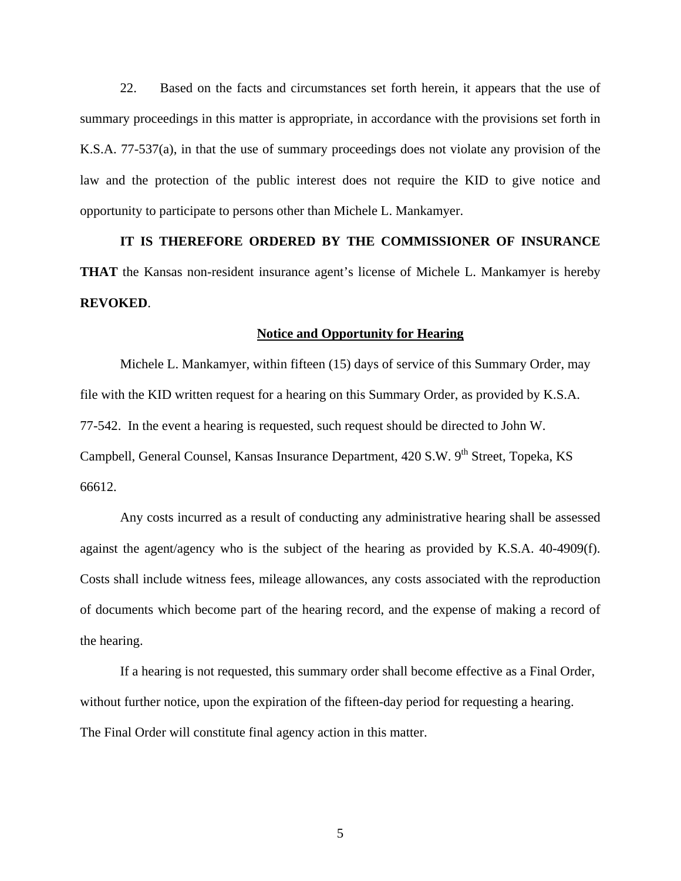22. Based on the facts and circumstances set forth herein, it appears that the use of summary proceedings in this matter is appropriate, in accordance with the provisions set forth in K.S.A. 77-537(a), in that the use of summary proceedings does not violate any provision of the law and the protection of the public interest does not require the KID to give notice and opportunity to participate to persons other than Michele L. Mankamyer.

**IT IS THEREFORE ORDERED BY THE COMMISSIONER OF INSURANCE THAT** the Kansas non-resident insurance agent's license of Michele L. Mankamyer is hereby **REVOKED**.

#### **Notice and Opportunity for Hearing**

Michele L. Mankamyer, within fifteen (15) days of service of this Summary Order, may file with the KID written request for a hearing on this Summary Order, as provided by K.S.A. 77-542. In the event a hearing is requested, such request should be directed to John W. Campbell, General Counsel, Kansas Insurance Department, 420 S.W. 9<sup>th</sup> Street, Topeka, KS 66612.

 Any costs incurred as a result of conducting any administrative hearing shall be assessed against the agent/agency who is the subject of the hearing as provided by K.S.A. 40-4909(f). Costs shall include witness fees, mileage allowances, any costs associated with the reproduction of documents which become part of the hearing record, and the expense of making a record of the hearing.

If a hearing is not requested, this summary order shall become effective as a Final Order, without further notice, upon the expiration of the fifteen-day period for requesting a hearing. The Final Order will constitute final agency action in this matter.